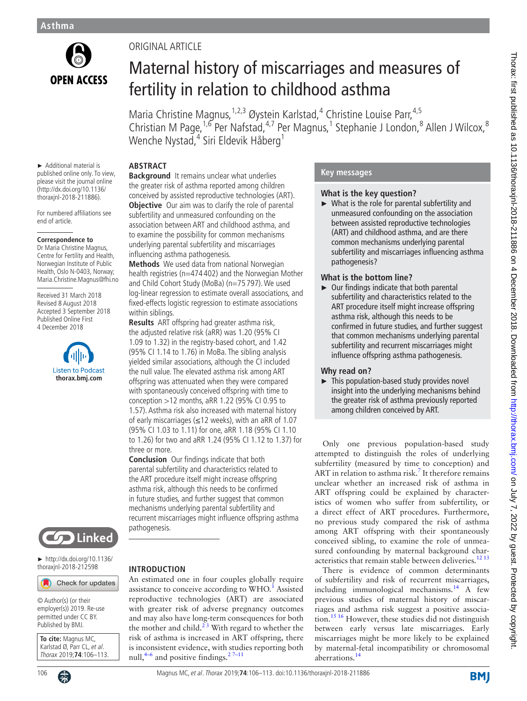

# Original article

# Maternal history of miscarriages and measures of fertility in relation to childhood asthma

Maria Christine Magnus, <sup>1,2,3</sup> Øystein Karlstad, <sup>4</sup> Christine Louise Parr, <sup>4,5</sup> Christian M Page,<sup>1,6</sup> Per Nafstad,<sup>4,7</sup> Per Magnus,<sup>1</sup> Stephanie J London,<sup>8</sup> Allen J Wilcox,<sup>8</sup> Wenche Nystad,<sup>4</sup> Siri Eldevik Håberg<sup>1</sup>

► Additional material is published online only. To view, please visit the journal online (http://dx.doi.org/10.1136/ thoraxjnl-2018-211886).

For numbered affiliations see end of article.

#### **Correspondence to**

Dr Maria Christine Magnus, Centre for Fertility and Health, Norwegian Institute of Public Health, Oslo N-0403, Norway; Maria.Christine.Magnus@fhi.no

Received 31 March 2018 Revised 8 August 2018 Accepted 3 September 2018 Published Online First 4 December 2018





► [http://dx.doi.org/10.1136/](http://dx.doi.org/10.1136/thoraxjnl-2018-212598 ) [thoraxjnl-2018-212598](http://dx.doi.org/10.1136/thoraxjnl-2018-212598 ) 

Check for updates

© Author(s) (or their employer(s)) 2019. Re-use permitted under CC BY. Published by BMJ.

**To cite:** Magnus MC, Karlstad Ø, Parr CL, et al. Thorax 2019;**74**:106–113.



### **Abstract**

**Background** It remains unclear what underlies the greater risk of asthma reported among children conceived by assisted reproductive technologies (ART). **Objective** Our aim was to clarify the role of parental subfertility and unmeasured confounding on the association between ART and childhood asthma, and to examine the possibility for common mechanisms underlying parental subfertility and miscarriages influencing asthma pathogenesis.

**Methods** We used data from national Norwegian health registries (n=474 402) and the Norwegian Mother and Child Cohort Study (MoBa) (n=75 797). We used log-linear regression to estimate overall associations, and fixed-effects logistic regression to estimate associations within siblings.

**Results** ART offspring had greater asthma risk, the adjusted relative risk (aRR) was 1.20 (95% CI 1.09 to 1.32) in the registry-based cohort, and 1.42 (95% CI 1.14 to 1.76) in MoBa. The sibling analysis yielded similar associations, although the CI included the null value. The elevated asthma risk among ART offspring was attenuated when they were compared with spontaneously conceived offspring with time to conception >12 months, aRR 1.22 (95% CI 0.95 to 1.57). Asthma risk also increased with maternal history of early miscarriages ( $\leq$ 12 weeks), with an aRR of 1.07 (95% CI 1.03 to 1.11) for one, aRR 1.18 (95% CI 1.10 to 1.26) for two and aRR 1.24 (95% CI 1.12 to 1.37) for three or more.

**Conclusion** Our findings indicate that both parental subfertility and characteristics related to the ART procedure itself might increase offspring asthma risk, although this needs to be confirmed in future studies, and further suggest that common mechanisms underlying parental subfertility and recurrent miscarriages might influence offspring asthma pathogenesis.

### **Introduction**

An estimated one in four couples globally require assistance to conceive according to WHO.<sup>[1](#page-6-0)</sup> Assisted reproductive technologies (ART) are associated with greater risk of adverse pregnancy outcomes and may also have long-term consequences for both the mother and child.<sup>23</sup> With regard to whether the risk of asthma is increased in ART offspring, there is inconsistent evidence, with studies reporting both null,<sup>4–6</sup> and positive findings.<sup>27–11</sup>

### **Key messages**

### **What is the key question?**

► What is the role for parental subfertility and unmeasured confounding on the association between assisted reproductive technologies (ART) and childhood asthma, and are there common mechanisms underlying parental subfertility and miscarriages influencing asthma pathogenesis?

### **What is the bottom line?**

► Our findings indicate that both parental subfertility and characteristics related to the ART procedure itself might increase offspring asthma risk, although this needs to be confirmed in future studies, and further suggest that common mechanisms underlying parental subfertility and recurrent miscarriages might influence offspring asthma pathogenesis.

### **Why read on?**

► This population-based study provides novel insight into the underlying mechanisms behind the greater risk of asthma previously reported among children conceived by ART.

Only one previous population-based study attempted to distinguish the roles of underlying subfertility (measured by time to conception) and ART in relation to asthma risk.<sup>[7](#page-6-3)</sup> It therefore remains unclear whether an increased risk of asthma in ART offspring could be explained by characteristics of women who suffer from subfertility, or a direct effect of ART procedures. Furthermore, no previous study compared the risk of asthma among ART offspring with their spontaneously conceived sibling, to examine the role of unmeasured confounding by maternal background char-acteristics that remain stable between deliveries.<sup>[12 13](#page-6-4)</sup>

There is evidence of common determinants of subfertility and risk of recurrent miscarriages, including immunological mechanisms. $^{14}$  A few previous studies of maternal history of miscarriages and asthma risk suggest a positive association.<sup>15 16</sup> However, these studies did not distinguish between early versus late miscarriages. Early miscarriages might be more likely to be explained by maternal-fetal incompatibility or chromosomal aberrations.[14](#page-6-5)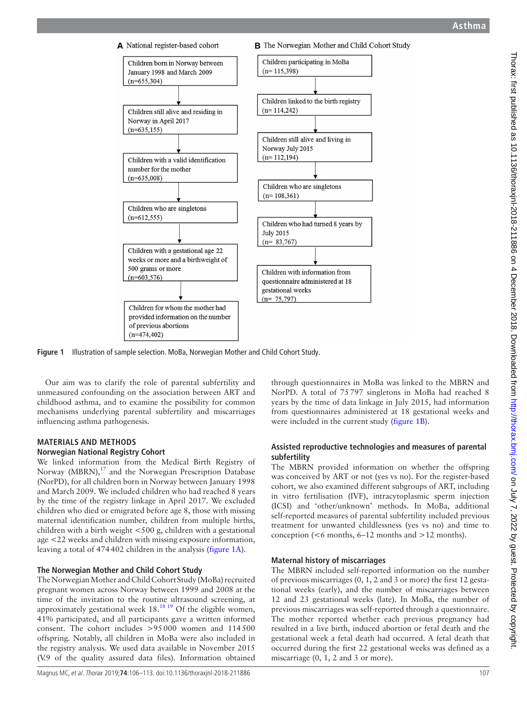

**Figure 1** Illustration of sample selection. MoBa, Norwegian Mother and Child Cohort Study.

Our aim was to clarify the role of parental subfertility and unmeasured confounding on the association between ART and childhood asthma, and to examine the possibility for common mechanisms underlying parental subfertility and miscarriages influencing asthma pathogenesis.

### **Materials and methods**

### **Norwegian National Registry Cohort**

We linked information from the Medical Birth Registry of Norway (MBRN),<sup>17</sup> and the Norwegian Prescription Database (NorPD), for all children born in Norway between January 1998 and March 2009. We included children who had reached 8 years by the time of the registry linkage in April 2017. We excluded children who died or emigrated before age 8, those with missing maternal identification number, children from multiple births, children with a birth weight <500 g, children with a gestational age <22 weeks and children with missing exposure information, leaving a total of 474402 children in the analysis ([figure](#page-1-0) 1A).

### **The Norwegian Mother and Child Cohort Study**

The Norwegian Mother and Child Cohort Study (MoBa) recruited pregnant women across Norway between 1999 and 2008 at the time of the invitation to the routine ultrasound screening, at approximately gestational week  $18.^{18}$  19 Of the eligible women, 41% participated, and all participants gave a written informed consent. The cohort includes >95000 women and 114500 offspring. Notably, all children in MoBa were also included in the registry analysis. We used data available in November 2015 (V.9 of the quality assured data files). Information obtained

<span id="page-1-0"></span>through questionnaires in MoBa was linked to the MBRN and NorPD. A total of 75797 singletons in MoBa had reached 8 years by the time of data linkage in July 2015, had information from questionnaires administered at 18 gestational weeks and were included in the current study ([figure](#page-1-0) 1B).

### **Assisted reproductive technologies and measures of parental subfertility**

The MBRN provided information on whether the offspring was conceived by ART or not (yes vs no). For the register-based cohort, we also examined different subgroups of ART, including in vitro fertilisation (IVF), intracytoplasmic sperm injection (ICSI) and 'other/unknown' methods. In MoBa, additional self-reported measures of parental subfertility included previous treatment for unwanted childlessness (yes vs no) and time to conception ( $<6$  months, 6–12 months and  $>12$  months).

### **Maternal history of miscarriages**

The MBRN included self-reported information on the number of previous miscarriages (0, 1, 2 and 3 or more) the first 12 gestational weeks (early), and the number of miscarriages between 12 and 23 gestational weeks (late). In MoBa, the number of previous miscarriages was self-reported through a questionnaire. The mother reported whether each previous pregnancy had resulted in a live birth, induced abortion or fetal death and the gestational week a fetal death had occurred. A fetal death that occurred during the first 22 gestational weeks was defined as a miscarriage (0, 1, 2 and 3 or more).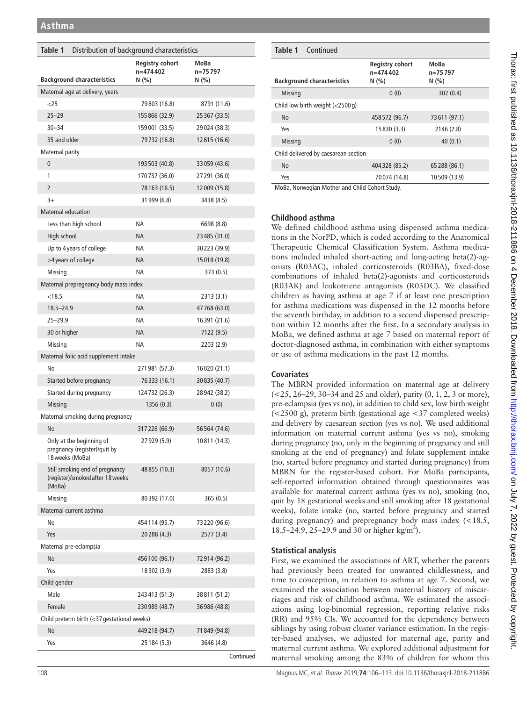<span id="page-2-0"></span>

| Table 1<br>Distribution of background characteristics                        |                                             |                            |  |  |  |
|------------------------------------------------------------------------------|---------------------------------------------|----------------------------|--|--|--|
| <b>Background characteristics</b>                                            | <b>Registry cohort</b><br>n=474402<br>N (%) | MoBa<br>$n=75797$<br>N (%) |  |  |  |
| Maternal age at delivery, years                                              |                                             |                            |  |  |  |
| $<$ 25                                                                       | 79 803 (16.8)                               | 8791 (11.6)                |  |  |  |
| $25 - 29$                                                                    | 155 866 (32.9)                              | 25367 (33.5)               |  |  |  |
| $30 - 34$                                                                    | 159001 (33.5)                               | 29024 (38.3)               |  |  |  |
| 35 and older                                                                 | 79 732 (16.8)                               | 12615 (16.6)               |  |  |  |
| Maternal parity                                                              |                                             |                            |  |  |  |
| $\mathbf{0}$                                                                 | 193 503 (40.8)                              | 33059 (43.6)               |  |  |  |
| 1                                                                            | 170737 (36.0)                               | 27 291 (36.0)              |  |  |  |
| $\overline{2}$                                                               | 78 163 (16.5)                               | 12 009 (15.8)              |  |  |  |
| $3+$                                                                         | 31 999 (6.8)                                | 3438 (4.5)                 |  |  |  |
| Maternal education                                                           |                                             |                            |  |  |  |
| Less than high school                                                        | NA.                                         | 6698 (8.8)                 |  |  |  |
| High school                                                                  | <b>NA</b>                                   | 23 485 (31.0)              |  |  |  |
| Up to 4 years of college                                                     | NА                                          | 30223 (39.9)               |  |  |  |
| >4 years of college                                                          | <b>NA</b>                                   | 15018 (19.8)               |  |  |  |
| Missing                                                                      | NA.                                         | 373 (0.5)                  |  |  |  |
| Maternal prepregnancy body mass index                                        |                                             |                            |  |  |  |
| < 18.5                                                                       | NА                                          | 2313 (3.1)                 |  |  |  |
| $18.5 - 24.9$                                                                | <b>NA</b>                                   | 47768 (63.0)               |  |  |  |
| $25 - 29.9$                                                                  | NА                                          | 16391 (21.6)               |  |  |  |
| 30 or higher                                                                 | <b>NA</b>                                   | 7122 (9.5)                 |  |  |  |
| Missing                                                                      | NА                                          | 2203 (2.9)                 |  |  |  |
| Maternal folic acid supplement intake                                        |                                             |                            |  |  |  |
| No                                                                           | 271 981 (57.3)                              | 16020 (21.1)               |  |  |  |
| Started before pregnancy                                                     | 76333 (16.1)                                | 30 835 (40.7)              |  |  |  |
| Started during pregnancy                                                     | 124732 (26.3)                               | 28942 (38.2)               |  |  |  |
| Missing                                                                      | 1356 (0.3)                                  | 0(0)                       |  |  |  |
| Maternal smoking during pregnancy                                            |                                             |                            |  |  |  |
| No                                                                           | 317226 (66.9)                               | 56 564 (74.6)              |  |  |  |
| Only at the beginning of<br>pregnancy (register)/quit by<br>18 weeks (MoBa)  | 27 929 (5.9)                                | 10811 (14.3)               |  |  |  |
| Still smoking end of pregnancy<br>(register)/smoked after 18 weeks<br>(MoBa) | 48 855 (10.3)                               | 8057 (10.6)                |  |  |  |
| Missing                                                                      | 80392 (17.0)                                | 365 (0.5)                  |  |  |  |
| Maternal current asthma                                                      |                                             |                            |  |  |  |
| No                                                                           | 454114 (95.7)                               | 73 220 (96.6)              |  |  |  |
| Yes                                                                          | 20288 (4.3)                                 | 2577 (3.4)                 |  |  |  |
| Maternal pre-eclampsia                                                       |                                             |                            |  |  |  |
| No                                                                           | 456100 (96.1)                               | 72 914 (96.2)              |  |  |  |
| Yes                                                                          | 18302 (3.9)                                 | 2883 (3.8)                 |  |  |  |
| Child gender                                                                 |                                             |                            |  |  |  |
| Male                                                                         | 243413 (51.3)                               | 38 811 (51.2)              |  |  |  |
| Female                                                                       | 230989 (48.7)                               | 36 986 (48.8)              |  |  |  |
| Child preterm birth (<37 gestational weeks)                                  |                                             |                            |  |  |  |
| No                                                                           | 449218 (94.7)                               | 71 849 (94.8)              |  |  |  |
| Yes                                                                          | 25 184 (5.3)                                | 3646 (4.8)                 |  |  |  |
|                                                                              |                                             | Continued                  |  |  |  |

| <b>Table 1</b> Continued                       |                                    |                   |
|------------------------------------------------|------------------------------------|-------------------|
|                                                | <b>Registry cohort</b><br>n=474402 | MoBa<br>$n=75797$ |
| <b>Background characteristics</b>              | N (%)                              | N(%)              |
| <b>Missing</b>                                 | 0(0)                               | 302(0.4)          |
| Child low birth weight $\left($ <2500 g)       |                                    |                   |
| <b>No</b>                                      | 458 572 (96.7)                     | 73611 (97.1)      |
| Yes                                            | 15 8 30 (3.3)                      | 2146 (2.8)        |
| <b>Missing</b>                                 | 0(0)                               | 40(0.1)           |
| Child delivered by caesarean section           |                                    |                   |
| <b>No</b>                                      | 404 328 (85.2)                     | 65 288 (86.1)     |
| Yes                                            | 70074 (14.8)                       | 10509 (13.9)      |
| MoBa, Norwegian Mother and Child Cohort Study. |                                    |                   |

### **Childhood asthma**

We defined childhood asthma using dispensed asthma medications in the NorPD, which is coded according to the Anatomical Therapeutic Chemical Classification System. Asthma medications included inhaled short-acting and long-acting beta(2)-agonists (R03AC), inhaled corticosteroids (R03BA), fixed-dose combinations of inhaled beta(2)-agonists and corticosteroids (R03AK) and leukotriene antagonists (R03DC). We classified children as having asthma at age 7 if at least one prescription for asthma medications was dispensed in the 12 months before the seventh birthday, in addition to a second dispensed prescription within 12 months after the first. In a secondary analysis in MoBa, we defined asthma at age 7 based on maternal report of doctor-diagnosed asthma, in combination with either symptoms or use of asthma medications in the past 12 months.

# **Covariates**

The MBRN provided information on maternal age at delivery (<25, 26–29, 30–34 and 25 and older), parity (0, 1, 2, 3 or more), pre-eclampsia (yes vs no), in addition to child sex, low birth weight (<2500 g), preterm birth (gestational age <37 completed weeks) and delivery by caesarean section (yes vs no). We used additional information on maternal current asthma (yes vs no), smoking during pregnancy (no, only in the beginning of pregnancy and still smoking at the end of pregnancy) and folate supplement intake (no, started before pregnancy and started during pregnancy) from MBRN for the register-based cohort. For MoBa participants, self-reported information obtained through questionnaires was available for maternal current asthma (yes vs no), smoking (no, quit by 18 gestational weeks and still smoking after 18 gestational weeks), folate intake (no, started before pregnancy and started during pregnancy) and prepregnancy body mass index (<18.5, 18.5–24.9, 25–29.9 and 30 or higher kg/m<sup>2</sup>).

# **Statistical analysis**

First, we examined the associations of ART, whether the parents had previously been treated for unwanted childlessness, and time to conception, in relation to asthma at age 7. Second, we examined the association between maternal history of miscarriages and risk of childhood asthma. We estimated the associations using log-binomial regression, reporting relative risks (RR) and 95% CIs. We accounted for the dependency between siblings by using robust cluster variance estimation. In the register-based analyses, we adjusted for maternal age, parity and maternal current asthma. We explored additional adjustment for maternal smoking among the 83% of children for whom this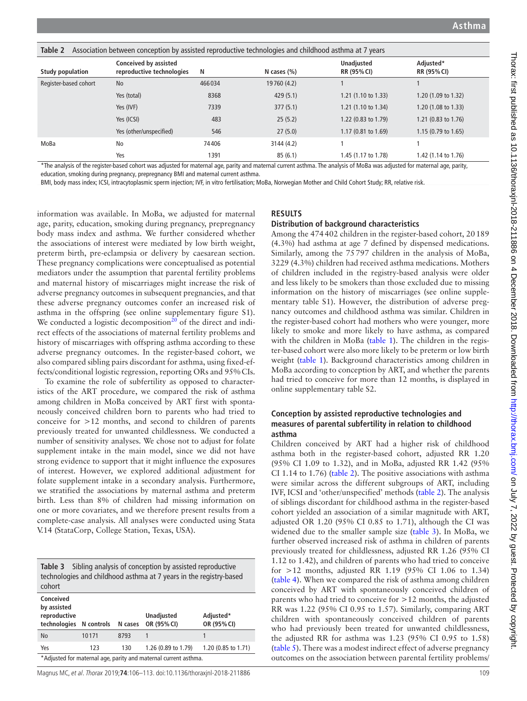<span id="page-3-0"></span>

| Table 2<br>Association between conception by assisted reproductive technologies and childhood asthma at 7 years |                                                    |        |                 |                                  |                                |  |  |
|-----------------------------------------------------------------------------------------------------------------|----------------------------------------------------|--------|-----------------|----------------------------------|--------------------------------|--|--|
| <b>Study population</b>                                                                                         | Conceived by assisted<br>reproductive technologies | N      | N cases $(\% )$ | <b>Unadjusted</b><br>RR (95% CI) | Adjusted*<br>RR (95% CI)       |  |  |
| Register-based cohort                                                                                           | <b>No</b>                                          | 466034 | 19760 (4.2)     |                                  |                                |  |  |
|                                                                                                                 | Yes (total)                                        | 8368   | 429(5.1)        | 1.21 (1.10 to 1.33)              | 1.20 (1.09 to 1.32)            |  |  |
|                                                                                                                 | Yes (IVF)                                          | 7339   | 377(5.1)        | 1.21 (1.10 to 1.34)              | 1.20 (1.08 to 1.33)            |  |  |
|                                                                                                                 | Yes (ICSI)                                         | 483    | 25(5.2)         | 1.22 (0.83 to 1.79)              | 1.21 $(0.83 \text{ to } 1.76)$ |  |  |
|                                                                                                                 | Yes (other/unspecified)                            | 546    | 27(5.0)         | 1.17 (0.81 to 1.69)              | 1.15 $(0.79 \text{ to } 1.65)$ |  |  |
| MoBa                                                                                                            | No                                                 | 74406  | 3144 (4.2)      |                                  |                                |  |  |
|                                                                                                                 | Yes                                                | 1391   | 85(6.1)         | 1.45 (1.17 to 1.78)              | 1.42 (1.14 to 1.76)            |  |  |

\*The analysis of the register-based cohort was adjusted for maternal age, parity and maternal current asthma. The analysis of MoBa was adjusted for maternal age, parity, education, smoking during pregnancy, prepregnancy BMI and maternal current asthma.

BMI, body mass index; ICSI, intracytoplasmic sperm injection; IVF, in vitro fertilisation; MoBa, Norwegian Mother and Child Cohort Study; RR, relative risk.

information was available. In MoBa, we adjusted for maternal age, parity, education, smoking during pregnancy, prepregnancy body mass index and asthma. We further considered whether the associations of interest were mediated by low birth weight, preterm birth, pre-eclampsia or delivery by caesarean section. These pregnancy complications were conceptualised as potential mediators under the assumption that parental fertility problems and maternal history of miscarriages might increase the risk of adverse pregnancy outcomes in subsequent pregnancies, and that these adverse pregnancy outcomes confer an increased risk of asthma in the offspring (see online [supplementary figure S1](https://dx.doi.org/10.1136/thoraxjnl-2018-211886)). We conducted a logistic decomposition<sup>[20](#page-6-9)</sup> of the direct and indirect effects of the associations of maternal fertility problems and history of miscarriages with offspring asthma according to these adverse pregnancy outcomes. In the register-based cohort, we also compared sibling pairs discordant for asthma, using fixed-effects/conditional logistic regression, reporting ORs and 95% CIs.

To examine the role of subfertility as opposed to characteristics of the ART procedure, we compared the risk of asthma among children in MoBa conceived by ART first with spontaneously conceived children born to parents who had tried to conceive for >12 months, and second to children of parents previously treated for unwanted childlessness. We conducted a number of sensitivity analyses. We chose not to adjust for folate supplement intake in the main model, since we did not have strong evidence to support that it might influence the exposures of interest. However, we explored additional adjustment for folate supplement intake in a secondary analysis. Furthermore, we stratified the associations by maternal asthma and preterm birth. Less than 8% of children had missing information on one or more covariates, and we therefore present results from a complete-case analysis. All analyses were conducted using Stata V.14 (StataCorp, College Station, Texas, USA).

<span id="page-3-1"></span>

|        | <b>Table 3</b> Sibling analysis of conception by assisted reproductive |
|--------|------------------------------------------------------------------------|
|        | technologies and childhood asthma at 7 years in the registry-based     |
| cohort |                                                                        |

| Conceived<br>by assisted<br>reproductive<br>technologies N controls |       | N cases | <b>Unadjusted</b><br>OR (95% CI)                                | Adjusted*<br>OR (95% CI) |
|---------------------------------------------------------------------|-------|---------|-----------------------------------------------------------------|--------------------------|
| <b>No</b>                                                           | 10171 | 8793    |                                                                 |                          |
| Yes                                                                 | 123   | 130     | 1.26 (0.89 to 1.79)                                             | 1.20 (0.85 to 1.71)      |
|                                                                     |       |         | *Adjusted for maternal age, parity and maternal current asthma. |                          |

Magnus MC, et al. Thorax 2019;**74**:106–113. doi:10.1136/thoraxjnl-2018-211886 109

### **Results**

#### **Distribution of background characteristics**

Among the 474402 children in the register-based cohort, 20189 (4.3%) had asthma at age 7 defined by dispensed medications. Similarly, among the 75797 children in the analysis of MoBa, 3229 (4.3%) children had received asthma medications. Mothers of children included in the registry-based analysis were older and less likely to be smokers than those excluded due to missing information on the history of miscarriages (see online [supple](https://dx.doi.org/10.1136/thoraxjnl-2018-211886)[mentary table S1\)](https://dx.doi.org/10.1136/thoraxjnl-2018-211886). However, the distribution of adverse pregnancy outcomes and childhood asthma was similar. Children in the register-based cohort had mothers who were younger, more likely to smoke and more likely to have asthma, as compared with the children in MoBa ([table](#page-2-0) 1). The children in the register-based cohort were also more likely to be preterm or low birth weight ([table](#page-2-0) 1). Background characteristics among children in MoBa according to conception by ART, and whether the parents had tried to conceive for more than 12 months, is displayed in online [supplementary table S2](https://dx.doi.org/10.1136/thoraxjnl-2018-211886).

### **Conception by assisted reproductive technologies and measures of parental subfertility in relation to childhood asthma**

Children conceived by ART had a higher risk of childhood asthma both in the register-based cohort, adjusted RR 1.20 (95% CI 1.09 to 1.32), and in MoBa, adjusted RR 1.42 (95% CI 1.14 to 1.76) ([table](#page-3-0) 2). The positive associations with asthma were similar across the different subgroups of ART, including IVF, ICSI and 'other/unspecified' methods ([table](#page-3-0) 2). The analysis of siblings discordant for childhood asthma in the register-based cohort yielded an association of a similar magnitude with ART, adjusted OR 1.20 (95% CI 0.85 to 1.71), although the CI was widened due to the smaller sample size ([table](#page-3-1) 3). In MoBa, we further observed increased risk of asthma in children of parents previously treated for childlessness, adjusted RR 1.26 (95% CI 1.12 to 1.42), and children of parents who had tried to conceive for >12 months, adjusted RR 1.19 (95% CI 1.06 to 1.34) ([table](#page-4-0) 4). When we compared the risk of asthma among children conceived by ART with spontaneously conceived children of parents who had tried to conceive for >12 months, the adjusted RR was 1.22 (95% CI 0.95 to 1.57). Similarly, comparing ART children with spontaneously conceived children of parents who had previously been treated for unwanted childlessness, the adjusted RR for asthma was 1.23 (95% CI 0.95 to 1.58) ([table](#page-4-1) 5). There was a modest indirect effect of adverse pregnancy outcomes on the association between parental fertility problems/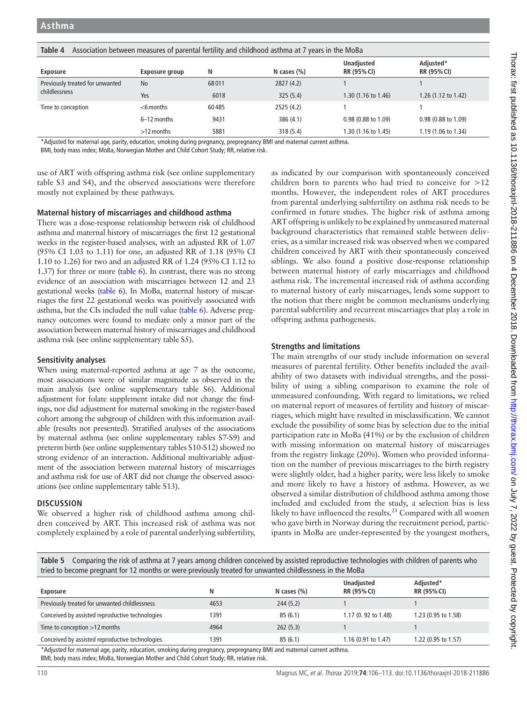| $1 \times 1 \times 1$<br>e a controlled in the control of partition its thirty and thinginous addition at Fytals in the model                                                                                                                                       |                |       |                 |                                  |                               |  |  |
|---------------------------------------------------------------------------------------------------------------------------------------------------------------------------------------------------------------------------------------------------------------------|----------------|-------|-----------------|----------------------------------|-------------------------------|--|--|
| <b>Exposure</b>                                                                                                                                                                                                                                                     | Exposure group | N     | N cases $(\% )$ | <b>Unadjusted</b><br>RR (95% CI) | Adjusted*<br>RR (95% CI)      |  |  |
| Previously treated for unwanted                                                                                                                                                                                                                                     | <b>No</b>      | 68011 | 2827(4.2)       |                                  |                               |  |  |
| childlessness                                                                                                                                                                                                                                                       | Yes            | 6018  | 325(5.4)        | 1.30 (1.16 to 1.46)              | 1.26 (1.12 to 1.42)           |  |  |
| Time to conception                                                                                                                                                                                                                                                  | $<$ 6 months   | 60485 | 2525 (4.2)      |                                  |                               |  |  |
|                                                                                                                                                                                                                                                                     | 6-12 months    | 9431  | 386 (4.1)       | 0.98 (0.88 to 1.09)              | $0.98(0.88 \text{ to } 1.09)$ |  |  |
|                                                                                                                                                                                                                                                                     | $>12$ months   | 5881  | 318 (5.4)       | 1.30 (1.16 to 1.45)              | 1.19 (1.06 to 1.34)           |  |  |
| $\mathbf{a} \cdot \mathbf{a} \cdot \mathbf{b}$ . The contract of the contract of the contract of the contract of the contract of the contract of the contract of the contract of the contract of the contract of the contract of the contract of th<br>$\mathbf{r}$ |                |       |                 |                                  |                               |  |  |

<span id="page-4-0"></span>**Table 4** Association between measures of parental fertility and childhood asthma at 7 years in the MoBa

\*Adjusted for maternal age, parity, education, smoking during pregnancy, prepregnancy BMI and maternal current asthma.

BMI, body mass index; MoBa, Norwegian Mother and Child Cohort Study; RR, relative risk.

use of ART with offspring asthma risk (see online [supplementary](https://dx.doi.org/10.1136/thoraxjnl-2018-211886)  [table S3 and S4\)](https://dx.doi.org/10.1136/thoraxjnl-2018-211886), and the observed associations were therefore mostly not explained by these pathways.

**Maternal history of miscarriages and childhood asthma**

There was a dose-response relationship between risk of childhood asthma and maternal history of miscarriages the first 12 gestational weeks in the register-based analyses, with an adjusted RR of 1.07 (95% CI 1.03 to 1.11) for one, an adjusted RR of 1.18 (95% CI 1.10 to 1.26) for two and an adjusted RR of 1.24 (95% CI 1.12 to 1.37) for three or more [\(table](#page-5-0) 6). In contrast, there was no strong evidence of an association with miscarriages between 12 and 23 gestational weeks [\(table](#page-5-0) 6). In MoBa, maternal history of miscarriages the first 22 gestational weeks was positively associated with asthma, but the CIs included the null value [\(table](#page-5-0) 6). Adverse pregnancy outcomes were found to mediate only a minor part of the association between maternal history of miscarriages and childhood asthma risk (see online [supplementary table S5\)](https://dx.doi.org/10.1136/thoraxjnl-2018-211886).

### **Sensitivity analyses**

When using maternal-reported asthma at age 7 as the outcome, most associations were of similar magnitude as observed in the main analysis (see online [supplementary table S6](https://dx.doi.org/10.1136/thoraxjnl-2018-211886)). Additional adjustment for folate supplement intake did not change the findings, nor did adjustment for maternal smoking in the register-based cohort among the subgroup of children with this information available (results not presented). Stratified analyses of the associations by maternal asthma (see online [supplementary tables S7-S9](https://dx.doi.org/10.1136/thoraxjnl-2018-211886)) and preterm birth (see online [supplementary tables S10-S12\)](https://dx.doi.org/10.1136/thoraxjnl-2018-211886) showed no strong evidence of an interaction. Additional multivariable adjustment of the association between maternal history of miscarriages and asthma risk for use of ART did not change the observed associations (see online [supplementary table S13](https://dx.doi.org/10.1136/thoraxjnl-2018-211886)).

### **Discussion**

We observed a higher risk of childhood asthma among children conceived by ART. This increased risk of asthma was not completely explained by a role of parental underlying subfertility,

as indicated by our comparison with spontaneously conceived children born to parents who had tried to conceive for >12 months. However, the independent roles of ART procedures from parental underlying subfertility on asthma risk needs to be confirmed in future studies. The higher risk of asthma among ART offspring is unlikely to be explained by unmeasured maternal background characteristics that remained stable between deliveries, as a similar increased risk was observed when we compared children conceived by ART with their spontaneously conceived siblings. We also found a positive dose-response relationship between maternal history of early miscarriages and childhood asthma risk. The incremental increased risk of asthma according to maternal history of early miscarriages, lends some support to the notion that there might be common mechanisms underlying parental subfertility and recurrent miscarriages that play a role in offspring asthma pathogenesis.

### **Strengths and limitations**

The main strengths of our study include information on several measures of parental fertility. Other benefits included the availability of two datasets with individual strengths, and the possibility of using a sibling comparison to examine the role of unmeasured confounding. With regard to limitations, we relied on maternal report of measures of fertility and history of miscarriages, which might have resulted in misclassification. We cannot exclude the possibility of some bias by selection due to the initial participation rate in MoBa (41%) or by the exclusion of children with missing information on maternal history of miscarriages from the registry linkage (20%). Women who provided information on the number of previous miscarriages to the birth registry were slightly older, had a higher parity, were less likely to smoke and more likely to have a history of asthma. However, as we observed a similar distribution of childhood asthma among those included and excluded from the study, a selection bias is less likely to have influenced the results.<sup>21</sup> Compared with all women who gave birth in Norway during the recruitment period, participants in MoBa are under-represented by the youngest mothers,

<span id="page-4-1"></span>**Table 5** Comparing the risk of asthma at 7 years among children conceived by assisted reproductive technologies with children of parents who tried to become pregnant for 12 months or were previously treated for unwanted childlessness in the MoBa

| Exposure                                                                                                              | N    | N cases $(\%)$ | <b>Unadiusted</b><br>RR (95% CI) | Adjusted*<br><b>RR (95% CI)</b> |  |
|-----------------------------------------------------------------------------------------------------------------------|------|----------------|----------------------------------|---------------------------------|--|
|                                                                                                                       |      |                |                                  |                                 |  |
| Previously treated for unwanted childlessness                                                                         | 4653 | 244(5.2)       |                                  |                                 |  |
| Conceived by assisted reproductive technologies                                                                       | 1391 | 85(6.1)        | 1.17 (0.92 to 1.48)              | 1.23 (0.95 to 1.58)             |  |
| Time to conception $>12$ months                                                                                       | 4964 | 262(5.3)       |                                  |                                 |  |
| Conceived by assisted reproductive technologies                                                                       | 1391 | 85(6.1)        | 1.16 (0.91 to 1.47)              | 1.22 (0.95 to 1.57)             |  |
| * Adjusted for material age, parity, education, empling during pregnancy, preparance DML and maternal current octhone |      |                |                                  |                                 |  |

\*Adjusted for maternal age, parity, education, smoking during pregnancy, prepregnancy BMI and maternal current asthma. BMI, body mass index; MoBa, Norwegian Mother and Child Cohort Study; RR, relative risk.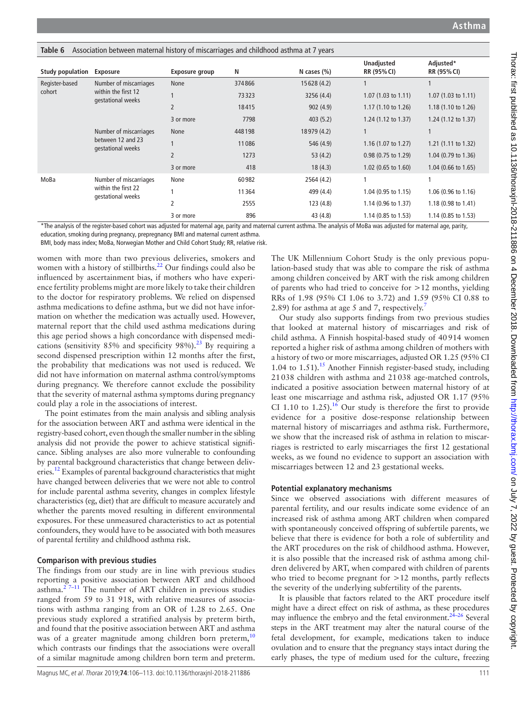<span id="page-5-0"></span>

|  | Table 6 Association between maternal history of miscarriages and childhood asthma at 7 years |  |  |  |  |  |
|--|----------------------------------------------------------------------------------------------|--|--|--|--|--|
|--|----------------------------------------------------------------------------------------------|--|--|--|--|--|

| <b>Study population</b>                | <b>Exposure</b>                          | Exposure group | N      | N cases $(\% )$ | <b>Unadjusted</b><br>RR (95% CI) | Adjusted*<br>RR (95% CI)      |
|----------------------------------------|------------------------------------------|----------------|--------|-----------------|----------------------------------|-------------------------------|
| Register-based                         | Number of miscarriages                   | <b>None</b>    | 374866 | 15 628 (4.2)    |                                  |                               |
| cohort                                 | within the first 12<br>gestational weeks |                | 73323  | 3256 (4.4)      | $1.07(1.03 \text{ to } 1.11)$    | $1.07(1.03 \text{ to } 1.11)$ |
|                                        |                                          | $\overline{2}$ | 18415  | 902(4.9)        | 1.17 (1.10 to 1.26)              | 1.18 (1.10 to 1.26)           |
|                                        |                                          | 3 or more      | 7798   | 403(5.2)        | 1.24 (1.12 to 1.37)              | 1.24 (1.12 to 1.37)           |
| between 12 and 23<br>gestational weeks | Number of miscarriages                   | <b>None</b>    | 448198 | 18979 (4.2)     |                                  |                               |
|                                        |                                          |                | 11086  | 546 (4.9)       | 1.16 (1.07 to 1.27)              | 1.21 (1.11 to 1.32)           |
|                                        |                                          | $\overline{2}$ | 1273   | 53(4.2)         | 0.98 (0.75 to 1.29)              | 1.04 (0.79 to 1.36)           |
|                                        |                                          | 3 or more      | 418    | 18(4.3)         | 1.02 (0.65 to 1.60)              | 1.04 (0.66 to 1.65)           |
| MoBa                                   | Number of miscarriages                   | None           | 60982  | 2564 (4.2)      |                                  |                               |
|                                        | within the first 22<br>gestational weeks |                | 11364  | 499 (4.4)       | 1.04 (0.95 to 1.15)              | 1.06 (0.96 to 1.16)           |
|                                        |                                          | 2              | 2555   | 123(4.8)        | $1.14$ (0.96 to 1.37)            | 1.18 (0.98 to 1.41)           |
|                                        |                                          | 3 or more      | 896    | 43(4.8)         | 1.14 (0.85 to 1.53)              | 1.14 (0.85 to 1.53)           |

\*The analysis of the register-based cohort was adjusted for maternal age, parity and maternal current asthma. The analysis of MoBa was adjusted for maternal age, parity, education, smoking during pregnancy, prepregnancy BMI and maternal current asthma.

BMI, body mass index; MoBa, Norwegian Mother and Child Cohort Study; RR, relative risk.

women with more than two previous deliveries, smokers and women with a history of stillbirths.<sup>[22](#page-6-11)</sup> Our findings could also be influenced by ascertainment bias, if mothers who have experience fertility problems might are more likely to take their children to the doctor for respiratory problems. We relied on dispensed asthma medications to define asthma, but we did not have information on whether the medication was actually used. However, maternal report that the child used asthma medications during this age period shows a high concordance with dispensed medications (sensitivity  $85\%$  and specificity  $98\%$ ).<sup>23</sup> By requiring a second dispensed prescription within 12 months after the first, the probability that medications was not used is reduced. We did not have information on maternal asthma control/symptoms during pregnancy. We therefore cannot exclude the possibility that the severity of maternal asthma symptoms during pregnancy could play a role in the associations of interest.

The point estimates from the main analysis and sibling analysis for the association between ART and asthma were identical in the registry-based cohort, even though the smaller number in the sibling analysis did not provide the power to achieve statistical significance. Sibling analyses are also more vulnerable to confounding by parental background characteristics that change between deliveries.<sup>12</sup> Examples of parental background characteristics that might have changed between deliveries that we were not able to control for include parental asthma severity, changes in complex lifestyle characteristics (eg, diet) that are difficult to measure accurately and whether the parents moved resulting in different environmental exposures. For these unmeasured characteristics to act as potential confounders, they would have to be associated with both measures of parental fertility and childhood asthma risk.

### **Comparison with previous studies**

The findings from our study are in line with previous studies reporting a positive association between ART and childhood asthma. $27-11$  The number of ART children in previous studies ranged from 59 to 31 918, with relative measures of associations with asthma ranging from an OR of 1.28 to 2.65. One previous study explored a stratified analysis by preterm birth, and found that the positive association between ART and asthma was of a greater magnitude among children born preterm,  $10$ which contrasts our findings that the associations were overall of a similar magnitude among children born term and preterm.

The UK Millennium Cohort Study is the only previous population-based study that was able to compare the risk of asthma among children conceived by ART with the risk among children of parents who had tried to conceive for >12 months, yielding RRs of 1.98 (95% CI 1.06 to 3.72) and 1.59 (95% CI 0.88 to 2.89) for asthma at age 5 and [7](#page-6-3), respectively.<sup>7</sup>

Our study also supports findings from two previous studies that looked at maternal history of miscarriages and risk of child asthma. A Finnish hospital-based study of 40914 women reported a higher risk of asthma among children of mothers with a history of two or more miscarriages, adjusted OR 1.25 (95% CI 1.04 to  $1.51$ ).<sup>15</sup> Another Finnish register-based study, including 21038 children with asthma and 21038 age-matched controls, indicated a positive association between maternal history of at least one miscarriage and asthma risk, adjusted OR 1.17 (95% CI 1.10 to 1.25).<sup>16</sup> Our study is therefore the first to provide evidence for a positive dose-response relationship between maternal history of miscarriages and asthma risk. Furthermore, we show that the increased risk of asthma in relation to miscarriages is restricted to early miscarriages the first 12 gestational weeks, as we found no evidence to support an association with miscarriages between 12 and 23 gestational weeks.

### **Potential explanatory mechanisms**

Since we observed associations with different measures of parental fertility, and our results indicate some evidence of an increased risk of asthma among ART children when compared with spontaneously conceived offspring of subfertile parents, we believe that there is evidence for both a role of subfertility and the ART procedures on the risk of childhood asthma. However, it is also possible that the increased risk of asthma among children delivered by ART, when compared with children of parents who tried to become pregnant for  $>12$  months, partly reflects the severity of the underlying subfertility of the parents.

It is plausible that factors related to the ART procedure itself might have a direct effect on risk of asthma, as these procedures may influence the embryo and the fetal environment.<sup>24–26</sup> Several steps in the ART treatment may alter the natural course of the fetal development, for example, medications taken to induce ovulation and to ensure that the pregnancy stays intact during the early phases, the type of medium used for the culture, freezing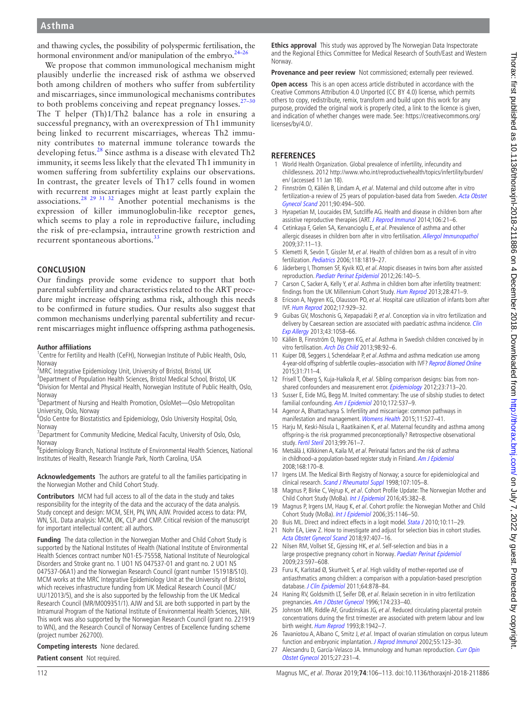### **Asthma**

and thawing cycles, the possibility of polyspermic fertilisation, the hormonal environment and/or manipulation of the embryo. $^{24}$ 

We propose that common immunological mechanism might plausibly underlie the increased risk of asthma we observed both among children of mothers who suffer from subfertility and miscarriages, since immunological mechanisms contributes to both problems conceiving and repeat pregnancy losses.<sup>27-30</sup> The T helper (Th)1/Th2 balance has a role in ensuring a successful pregnancy, with an overexpression of Th1 immunity being linked to recurrent miscarriages, whereas Th2 immunity contributes to maternal immune tolerance towards the developing fetus.<sup>[28](#page-7-0)</sup> Since asthma is a disease with elevated Th2 immunity, it seems less likely that the elevated Th1 immunity in women suffering from subfertility explains our observations. In contrast, the greater levels of Th17 cells found in women with recurrent miscarriages might at least partly explain the associations.<sup>28</sup> <sup>29</sup> <sup>31</sup> <sup>32</sup> Another potential mechanisms is the expression of killer immunoglobulin-like receptor genes, which seems to play a role in reproductive failure, including the risk of pre-eclampsia, intrauterine growth restriction and recurrent spontaneous abortions.<sup>[33](#page-7-1)</sup>

### **Conclusion**

Our findings provide some evidence to support that both parental subfertility and characteristics related to the ART procedure might increase offspring asthma risk, although this needs to be confirmed in future studies. Our results also suggest that common mechanisms underlying parental subfertility and recurrent miscarriages might influence offspring asthma pathogenesis.

#### **Author affiliations**

- <sup>1</sup> Centre for Fertility and Health (CeFH), Norwegian Institute of Public Health, Oslo, Norway
- <sup>2</sup> MRC Integrative Epidemiology Unit, University of Bristol, Bristol, UK<br><sup>3</sup> Department of Population Health Sciences, Bristol Medical School.
- <sup>3</sup> Department of Population Health Sciences, Bristol Medical School, Bristol, UK 4 Division for Mental and Physical Health, Norwegian Institute of Public Health, Oslo, Norway
- 5 Department of Nursing and Health Promotion, OsloMet—Oslo Metropolitan University, Oslo, Norway <sup>6</sup>
- Oslo Centre for Biostatistics and Epidemiology, Oslo University Hospital, Oslo, Norway

<sup>7</sup>Department for Community Medicine, Medical Faculty, University of Oslo, Oslo, Norway

8 Epidemiology Branch, National Institute of Environmental Health Sciences, National Institutes of Health, Research Triangle Park, North Carolina, USA

**Acknowledgements** The authors are grateful to all the families participating in the Norwegian Mother and Child Cohort Study.

**Contributors** MCM had full access to all of the data in the study and takes responsibility for the integrity of the data and the accuracy of the data analysis. Study concept and design: MCM, SEH, PN, WN, AJW. Provided access to data: PM, WN, SJL. Data analysis: MCM, ØK, CLP and CMP. Critical revision of the manuscript for important intellectual content: all authors.

**Funding** The data collection in the Norwegian Mother and Child Cohort Study is supported by the National Institutes of Health (National Institute of Environmental Health Sciences contract number N01-ES-75558, National Institute of Neurological Disorders and Stroke grant no. 1 UO1 NS 047537-01 and grant no. 2 UO1 NS 047537-06A1) and the Norwegian Research Council (grant number 151918/S10). MCM works at the MRC Integrative Epidemiology Unit at the University of Bristol, which receives infrastructure funding from UK Medical Research Council (MC/ UU/12013/5), and she is also supported by the fellowship from the UK Medical Research Council (MR/M009351/1). AJW and SJL are both supported in part by the Intramural Program of the National Institute of Environmental Health Sciences, NIH. This work was also supported by the Norwegian Research Council (grant no. 221919 to WN), and the Research Council of Norway Centres of Excellence funding scheme (project number 262700).

### **Competing interests** None declared.

**Patient consent** Not required.

**Ethics approval** This study was approved by The Norwegian Data Inspectorate and the Regional Ethics Committee for Medical Research of South/East and Western Norway.

**Provenance and peer review** Not commissioned: externally peer reviewed.

**Open access** This is an open access article distributed in accordance with the Creative Commons Attribution 4.0 Unported (CC BY 4.0) license, which permits others to copy, redistribute, remix, transform and build upon this work for any purpose, provided the original work is properly cited, a link to the licence is given, and indication of whether changes were made. See: [https://creativecommons.org/](https://creativecommons.org/licenses/by/4.0/) [licenses/by/4.0/.](https://creativecommons.org/licenses/by/4.0/)

#### **References**

- <span id="page-6-0"></span>1 World Health Organization. Global prevalence of infertility, infecundity and childlessness. 2012 [http://www.who.int/reproductivehealth/topics/infertility/burden/](http://www.who.int/reproductivehealth/topics/infertility/burden/en/) [en/](http://www.who.int/reproductivehealth/topics/infertility/burden/en/) (accessed 11 Jan 18).
- <span id="page-6-1"></span>2 Finnström O, Källén B, Lindam A, et al. Maternal and child outcome after in vitro fertilization-a review of 25 years of population-based data from Sweden. Acta Obstet [Gynecol Scand](http://dx.doi.org/10.1111/j.1600-0412.2011.01088.x) 2011;90:494–500.
- 3 Hyrapetian M, Loucaides EM, Sutcliffe AG . Health and disease in children born after assistive reproductive therapies (ART. [J Reprod Immunol](http://dx.doi.org/10.1016/j.jri.2014.08.001) 2014;106:21–6.
- <span id="page-6-2"></span>4 Cetinkaya F, Gelen SA, Kervancioglu E, et al. Prevalence of asthma and other allergic diseases in children born after in vitro fertilisation. [Allergol Immunopathol](http://dx.doi.org/10.1016/S0301-0546(09)70245-9) 2009;37:11–13.
- 5 Klemetti R, Sevón T, Gissler M, et al. Health of children born as a result of in vitro fertilization. [Pediatrics](http://dx.doi.org/10.1542/peds.2006-0735) 2006;118:1819–27.
- 6 Jäderberg I, Thomsen SF, Kyvik KO, et al. Atopic diseases in twins born after assisted reproduction. [Paediatr Perinat Epidemiol](http://dx.doi.org/10.1111/j.1365-3016.2011.01246.x) 2012;26:140–5.
- <span id="page-6-3"></span>7 Carson C, Sacker A, Kelly Y, et al. Asthma in children born after infertility treatment: findings from the UK Millennium Cohort Study. [Hum Reprod](http://dx.doi.org/10.1093/humrep/des398) 2013;28:471-9.
- 8 Ericson A, Nygren KG, Olausson PO, et al. Hospital care utilization of infants born after IVF. [Hum Reprod](http://dx.doi.org/10.1093/humrep/17.4.929) 2002;17:929–32.
- 9 Guibas GV, Moschonis G, Xepapadaki P, et al. Conception via in vitro fertilization and delivery by Caesarean section are associated with paediatric asthma incidence. Clin [Exp Allergy](http://dx.doi.org/10.1111/cea.12152) 2013;43:1058–66.
- <span id="page-6-13"></span>10 Källén B, Finnström O, Nygren KG, et al. Asthma in Swedish children conceived by in vitro fertilisation. [Arch Dis Child](http://dx.doi.org/10.1136/archdischild-2012-301822) 2013;98:92–6.
- 11 Kuiper DB, Seggers J, Schendelaar P, et al. Asthma and asthma medication use among 4-year-old offspring of subfertile couples–association with IVF? [Reprod Biomed Online](http://dx.doi.org/10.1016/j.rbmo.2015.08.002) 2015;31:711–4.
- <span id="page-6-4"></span>12 Frisell T, Öberg S, Kuja-Halkola R, et al. Sibling comparison designs: bias from non-shared confounders and measurement error. [Epidemiology](http://dx.doi.org/10.1097/EDE.0b013e31825fa230) 2012;23:713-20.
- 13 Susser E, Eide MG, Begg M. Invited commentary: The use of sibship studies to detect familial confounding. [Am J Epidemiol](http://dx.doi.org/10.1093/aje/kwq196) 2010;172:537-9.
- <span id="page-6-5"></span>14 Agenor A, Bhattacharya S. Infertility and miscarriage: common pathways in manifestation and management. [Womens Health](http://dx.doi.org/10.2217/WHE.15.19) 2015;11:527–41.
- <span id="page-6-6"></span>15 Harju M, Keski-Nisula L, Raatikainen K, et al. Maternal fecundity and asthma among offspring-is the risk programmed preconceptionally? Retrospective observational study. [Fertil Steril](http://dx.doi.org/10.1016/j.fertnstert.2012.10.034) 2013;99:761–7.
- <span id="page-6-14"></span>16 Metsälä J, Kilkkinen A, Kaila M, et al. Perinatal factors and the risk of asthma in childhood-a population-based register study in Finland. [Am J Epidemiol](http://dx.doi.org/10.1093/aje/kwn105) 2008;168:170–8.
- <span id="page-6-7"></span>17 Irgens LM. The Medical Birth Registry of Norway; a source for epidemiological and clinical research. [Scand J Rheumatol Suppl](http://dx.doi.org/10.1080/03009742.1998.11720780) 1998;107:105-8.
- <span id="page-6-8"></span>18 Magnus P, Birke C, Vejrup K, et al. Cohort Profile Update: The Norwegian Mother and Child Cohort Study (MoBa). [Int J Epidemiol](http://dx.doi.org/10.1093/ije/dyw029) 2016;45:382-8.
- 19 Magnus P, Irgens LM, Haug K, et al. Cohort profile: the Norwegian Mother and Child Cohort Study (MoBa). [Int J Epidemiol](http://dx.doi.org/10.1093/ije/dyl170) 2006;35:1146–50.
- <span id="page-6-9"></span>20 Buis ML. Direct and indirect effects in a logit model. [Stata J](http://www.ncbi.nlm.nih.gov/pubmed/22468140) 2010;10:11-29. 21 Nohr EA, Liew Z. How to investigate and adjust for selection bias in cohort studies.
- <span id="page-6-10"></span>[Acta Obstet Gynecol Scand](http://dx.doi.org/10.1111/aogs.13319) 2018;97:407–16. 22 Nilsen RM, Vollset SE, Gjessing HK, et al. Self-selection and bias in a
- <span id="page-6-11"></span>large prospective pregnancy cohort in Norway. [Paediatr Perinat Epidemiol](http://dx.doi.org/10.1111/j.1365-3016.2009.01062.x) 2009;23:597–608.
- <span id="page-6-12"></span>23 Furu K, Karlstad Ø, Skurtveit S, et al. High validity of mother-reported use of antiasthmatics among children: a comparison with a population-based prescription database. [J Clin Epidemiol](http://dx.doi.org/10.1016/j.jclinepi.2010.10.014) 2011;64:878-84.
- <span id="page-6-15"></span>24 Haning RV, Goldsmith LT, Seifer DB, et al. Relaxin secretion in in vitro fertilization pregnancies. [Am J Obstet Gynecol](http://dx.doi.org/10.1016/S0002-9378(96)70400-3) 1996;174:233-40.
- 25 Johnson MR, Riddle AF, Grudzinskas JG, et al. Reduced circulating placental protein concentrations during the first trimester are associated with preterm labour and low birth weight. [Hum Reprod](http://dx.doi.org/10.1093/oxfordjournals.humrep.a137965) 1993;8:1942-7.
- 26 Tavaniotou A, Albano C, Smitz J, et al. Impact of ovarian stimulation on corpus luteum function and embryonic implantation. [J Reprod Immunol](http://dx.doi.org/10.1016/S0165-0378(01)00134-6) 2002;55:123-30.
- <span id="page-6-16"></span>27 Alecsandru D, García-Velasco JA. Immunology and human reproduction. Curr Opin [Obstet Gynecol](http://dx.doi.org/10.1097/GCO.0000000000000174) 2015;27:231–4.